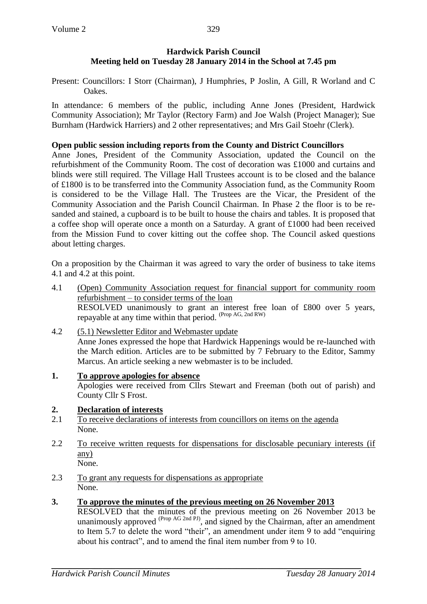## **Hardwick Parish Council Meeting held on Tuesday 28 January 2014 in the School at 7.45 pm**

Present: Councillors: I Storr (Chairman), J Humphries, P Joslin, A Gill, R Worland and C Oakes.

In attendance: 6 members of the public, including Anne Jones (President, Hardwick Community Association); Mr Taylor (Rectory Farm) and Joe Walsh (Project Manager); Sue Burnham (Hardwick Harriers) and 2 other representatives; and Mrs Gail Stoehr (Clerk).

## **Open public session including reports from the County and District Councillors**

Anne Jones, President of the Community Association, updated the Council on the refurbishment of the Community Room. The cost of decoration was £1000 and curtains and blinds were still required. The Village Hall Trustees account is to be closed and the balance of £1800 is to be transferred into the Community Association fund, as the Community Room is considered to be the Village Hall. The Trustees are the Vicar, the President of the Community Association and the Parish Council Chairman. In Phase 2 the floor is to be resanded and stained, a cupboard is to be built to house the chairs and tables. It is proposed that a coffee shop will operate once a month on a Saturday. A grant of £1000 had been received from the Mission Fund to cover kitting out the coffee shop. The Council asked questions about letting charges.

On a proposition by the Chairman it was agreed to vary the order of business to take items 4.1 and 4.2 at this point.

- 4.1 (Open) Community Association request for financial support for community room refurbishment – to consider terms of the loan RESOLVED unanimously to grant an interest free loan of £800 over 5 years, repayable at any time within that period. (Prop AG, 2nd RW)
- 4.2 (5.1) Newsletter Editor and Webmaster update Anne Jones expressed the hope that Hardwick Happenings would be re-launched with the March edition. Articles are to be submitted by 7 February to the Editor, Sammy Marcus. An article seeking a new webmaster is to be included.
- **1. To approve apologies for absence**  Apologies were received from Cllrs Stewart and Freeman (both out of parish) and County Cllr S Frost.

# **2. Declaration of interests**

- 2.1 To receive declarations of interests from councillors on items on the agenda None.
- 2.2 To receive written requests for dispensations for disclosable pecuniary interests (if any) None.

- 2.3 To grant any requests for dispensations as appropriate None.
- **3. To approve the minutes of the previous meeting on 26 November 2013**

RESOLVED that the minutes of the previous meeting on 26 November 2013 be unanimously approved  $^{(Prop\ AG\ 2nd\ PJ)}$ , and signed by the Chairman, after an amendment to Item 5.7 to delete the word "their", an amendment under item 9 to add "enquiring about his contract", and to amend the final item number from 9 to 10.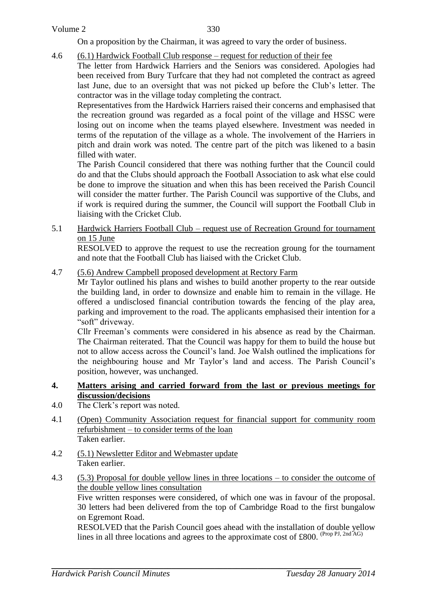#### Volume 2

On a proposition by the Chairman, it was agreed to vary the order of business.

4.6 (6.1) Hardwick Football Club response – request for reduction of their fee

The letter from Hardwick Harriers and the Seniors was considered. Apologies had been received from Bury Turfcare that they had not completed the contract as agreed last June, due to an oversight that was not picked up before the Club's letter. The contractor was in the village today completing the contract.

Representatives from the Hardwick Harriers raised their concerns and emphasised that the recreation ground was regarded as a focal point of the village and HSSC were losing out on income when the teams played elsewhere. Investment was needed in terms of the reputation of the village as a whole. The involvement of the Harriers in pitch and drain work was noted. The centre part of the pitch was likened to a basin filled with water.

The Parish Council considered that there was nothing further that the Council could do and that the Clubs should approach the Football Association to ask what else could be done to improve the situation and when this has been received the Parish Council will consider the matter further. The Parish Council was supportive of the Clubs, and if work is required during the summer, the Council will support the Football Club in liaising with the Cricket Club.

5.1 Hardwick Harriers Football Club – request use of Recreation Ground for tournament on 15 June

RESOLVED to approve the request to use the recreation groung for the tournament and note that the Football Club has liaised with the Cricket Club.

4.7 (5.6) Andrew Campbell proposed development at Rectory Farm

Mr Taylor outlined his plans and wishes to build another property to the rear outside the building land, in order to downsize and enable him to remain in the village. He offered a undisclosed financial contribution towards the fencing of the play area, parking and improvement to the road. The applicants emphasised their intention for a "soft" driveway.

Cllr Freeman's comments were considered in his absence as read by the Chairman. The Chairman reiterated. That the Council was happy for them to build the house but not to allow access across the Council's land. Joe Walsh outlined the implications for the neighbouring house and Mr Taylor's land and access. The Parish Council's position, however, was unchanged.

#### **4. Matters arising and carried forward from the last or previous meetings for discussion/decisions**

- 4.0 The Clerk's report was noted.
- 4.1 (Open) Community Association request for financial support for community room refurbishment – to consider terms of the loan Taken earlier.
- 4.2 (5.1) Newsletter Editor and Webmaster update Taken earlier.
- 4.3 (5.3) Proposal for double yellow lines in three locations to consider the outcome of the double yellow lines consultation Five written responses were considered, of which one was in favour of the proposal. 30 letters had been delivered from the top of Cambridge Road to the first bungalow on Egremont Road.

RESOLVED that the Parish Council goes ahead with the installation of double yellow lines in all three locations and agrees to the approximate cost of £800. (Prop PJ, 2nd AG)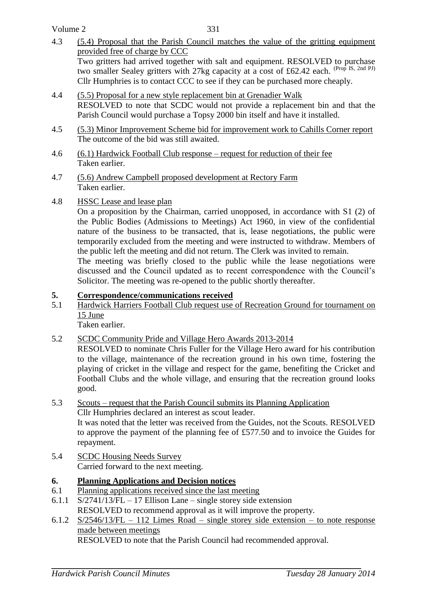Volume 2

- 4.3 (5.4) Proposal that the Parish Council matches the value of the gritting equipment provided free of charge by CCC Two gritters had arrived together with salt and equipment. RESOLVED to purchase two smaller Sealey gritters with 27kg capacity at a cost of £62.42 each. (Prop IS, 2nd PJ) Cllr Humphries is to contact CCC to see if they can be purchased more cheaply.
- 4.4 (5.5) Proposal for a new style replacement bin at Grenadier Walk RESOLVED to note that SCDC would not provide a replacement bin and that the Parish Council would purchase a Topsy 2000 bin itself and have it installed.
- 4.5 (5.3) Minor Improvement Scheme bid for improvement work to Cahills Corner report The outcome of the bid was still awaited.
- 4.6 (6.1) Hardwick Football Club response request for reduction of their fee Taken earlier.
- 4.7 (5.6) Andrew Campbell proposed development at Rectory Farm Taken earlier.
- 4.8 HSSC Lease and lease plan

On a proposition by the Chairman, carried unopposed, in accordance with S1 (2) of the Public Bodies (Admissions to Meetings) Act 1960, in view of the confidential nature of the business to be transacted, that is, lease negotiations, the public were temporarily excluded from the meeting and were instructed to withdraw. Members of the public left the meeting and did not return. The Clerk was invited to remain.

The meeting was briefly closed to the public while the lease negotiations were discussed and the Council updated as to recent correspondence with the Council's Solicitor. The meeting was re-opened to the public shortly thereafter.

### **5. Correspondence/communications received**

5.1 Hardwick Harriers Football Club request use of Recreation Ground for tournament on 15 June

Taken earlier.

5.2 SCDC Community Pride and Village Hero Awards 2013-2014

RESOLVED to nominate Chris Fuller for the Village Hero award for his contribution to the village, maintenance of the recreation ground in his own time, fostering the playing of cricket in the village and respect for the game, benefiting the Cricket and Football Clubs and the whole village, and ensuring that the recreation ground looks good.

- 5.3 Scouts request that the Parish Council submits its Planning Application Cllr Humphries declared an interest as scout leader. It was noted that the letter was received from the Guides, not the Scouts. RESOLVED to approve the payment of the planning fee of £577.50 and to invoice the Guides for repayment.
- 5.4 SCDC Housing Needs Survey Carried forward to the next meeting.

### **6. Planning Applications and Decision notices**

- 6.1 Planning applications received since the last meeting
- 6.1.1 S/2741/13/FL 17 Ellison Lane single storey side extension RESOLVED to recommend approval as it will improve the property.
- 6.1.2 S/2546/13/FL 112 Limes Road single storey side extension to note response made between meetings

RESOLVED to note that the Parish Council had recommended approval.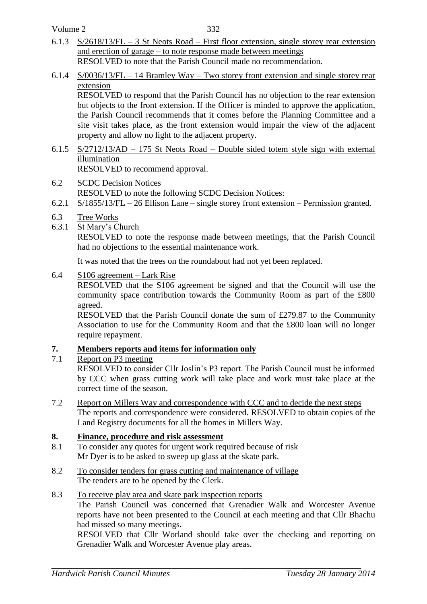Volume 2

- 6.1.3 S/2618/13/FL 3 St Neots Road First floor extension, single storey rear extension and erection of garage – to note response made between meetings RESOLVED to note that the Parish Council made no recommendation.
- 6.1.4 S/0036/13/FL 14 Bramley Way Two storey front extension and single storey rear extension

RESOLVED to respond that the Parish Council has no objection to the rear extension but objects to the front extension. If the Officer is minded to approve the application, the Parish Council recommends that it comes before the Planning Committee and a site visit takes place, as the front extension would impair the view of the adjacent property and allow no light to the adjacent property.

- 6.1.5 S/2712/13/AD 175 St Neots Road Double sided totem style sign with external illumination RESOLVED to recommend approval.
- 6.2 SCDC Decision Notices RESOLVED to note the following SCDC Decision Notices:
- 6.2.1 S/1855/13/FL 26 Ellison Lane single storey front extension Permission granted.
- 6.3 Tree Works
- 6.3.1 St Mary's Church

RESOLVED to note the response made between meetings, that the Parish Council had no objections to the essential maintenance work.

It was noted that the trees on the roundabout had not yet been replaced.

### 6.4 S106 agreement – Lark Rise

RESOLVED that the S106 agreement be signed and that the Council will use the community space contribution towards the Community Room as part of the £800 agreed.

RESOLVED that the Parish Council donate the sum of £279.87 to the Community Association to use for the Community Room and that the £800 loan will no longer require repayment.

### **7. Members reports and items for information only**

### 7.1 Report on P3 meeting

RESOLVED to consider Cllr Joslin's P3 report. The Parish Council must be informed by CCC when grass cutting work will take place and work must take place at the correct time of the season.

7.2 Report on Millers Way and correspondence with CCC and to decide the next steps The reports and correspondence were considered. RESOLVED to obtain copies of the Land Registry documents for all the homes in Millers Way.

## **8. Finance, procedure and risk assessment**

- 8.1 To consider any quotes for urgent work required because of risk Mr Dyer is to be asked to sweep up glass at the skate park.
- 8.2 To consider tenders for grass cutting and maintenance of village The tenders are to be opened by the Clerk.

## 8.3 To receive play area and skate park inspection reports

The Parish Council was concerned that Grenadier Walk and Worcester Avenue reports have not been presented to the Council at each meeting and that Cllr Bhachu had missed so many meetings.

RESOLVED that Cllr Worland should take over the checking and reporting on Grenadier Walk and Worcester Avenue play areas.